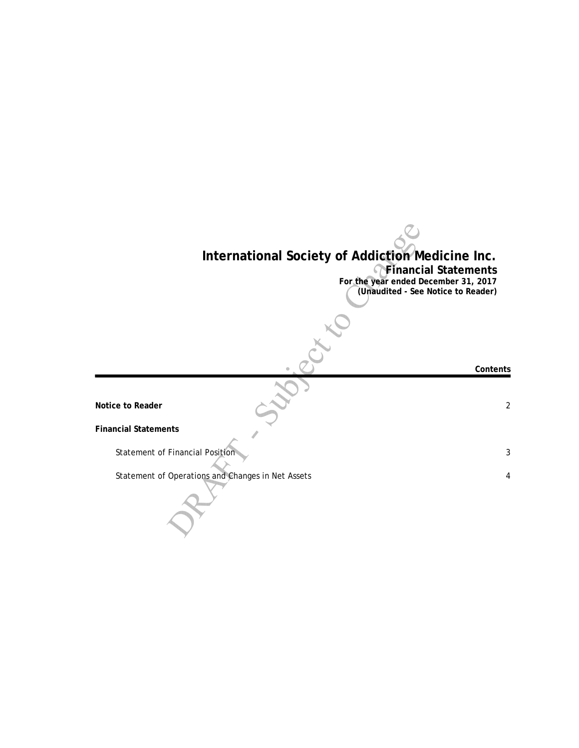## **International Society of Addiction Medicine Inc.**

**Financial Statements**

**For the year ended December 31, 2017 (Unaudited - See Notice to Reader)**

**Notice to Reader** 2

**Financial Statements**

Statement of Financial Position 3

Statement of Operations and Changes in Net Assets 4

**Contents**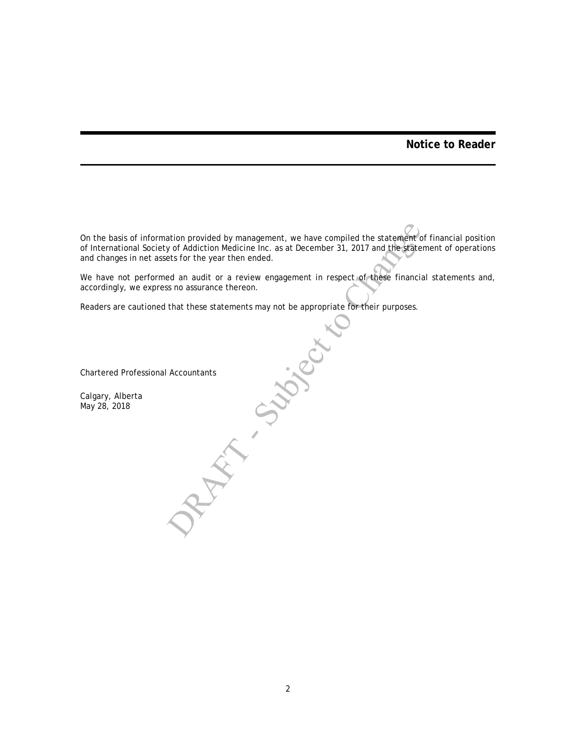## **Notice to Reader**

On the basis of information provided by management, we have compiled the statement of financial position of International Society of Addiction Medicine Inc. as at December 31, 2017 and the statement of operations and changes in net assets for the year then ended.

We have not performed an audit or a review engagement in respect of these financial statements and, accordingly, we express no assurance thereon.

Readers are cautioned that these statements may not be appropriate for their purposes.<br>
Chartered Professional Accountants<br>
Calgary, Alberta<br>
May 28, 2018

Chartered Professional Accountants

Calgary, Alberta May 28, 2018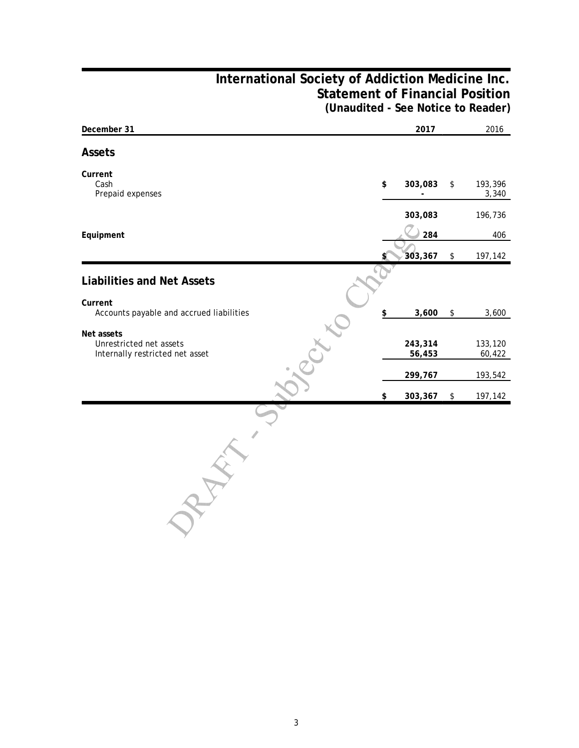## **International Society of Addiction Medicine Inc. Statement of Financial Position (Unaudited - See Notice to Reader)**

| December 31                                                              | 2017              |      | 2016              |
|--------------------------------------------------------------------------|-------------------|------|-------------------|
| <b>Assets</b>                                                            |                   |      |                   |
| Current<br>Cash<br>Prepaid expenses                                      | \$<br>303,083     | \$   | 193,396<br>3,340  |
|                                                                          | 303,083           |      | 196,736           |
| Equipment                                                                | 284               |      | 406               |
|                                                                          | 303,367           | $\,$ | 197,142           |
| <b>Liabilities and Net Assets</b>                                        |                   |      |                   |
| Current<br>Accounts payable and accrued liabilities                      | \$<br>3,600       | \$   | 3,600             |
| Net assets<br>Unrestricted net assets<br>Internally restricted net asset | 243,314<br>56,453 |      | 133,120<br>60,422 |
|                                                                          | 299,767           |      | 193,542           |
|                                                                          | \$<br>303,367     | \$   | 197,142           |
|                                                                          |                   |      |                   |